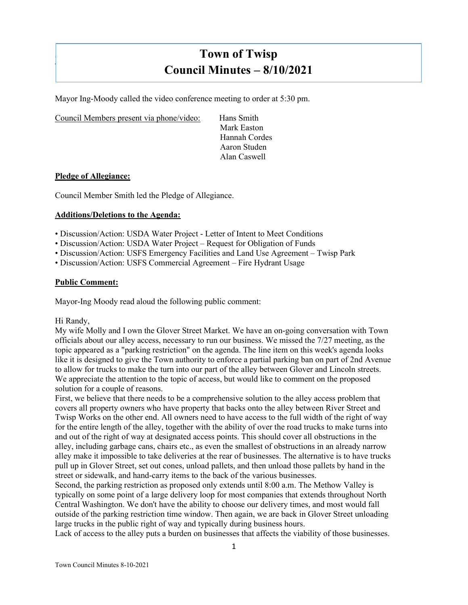# **Town of Twisp Council Minutes – 8/10/2021**

Mayor Ing-Moody called the video conference meeting to order at 5:30 pm.

Council Members present via phone/video: Hans Smith

Mark Easton Hannah Cordes Aaron Studen Alan Caswell

#### **Pledge of Allegiance:**

]

Council Member Smith led the Pledge of Allegiance.

#### **Additions/Deletions to the Agenda:**

- Discussion/Action: USDA Water Project Letter of Intent to Meet Conditions
- Discussion/Action: USDA Water Project Request for Obligation of Funds
- Discussion/Action: USFS Emergency Facilities and Land Use Agreement Twisp Park
- Discussion/Action: USFS Commercial Agreement Fire Hydrant Usage

#### **Public Comment:**

Mayor-Ing Moody read aloud the following public comment:

#### Hi Randy,

My wife Molly and I own the Glover Street Market. We have an on-going conversation with Town officials about our alley access, necessary to run our business. We missed the 7/27 meeting, as the topic appeared as a "parking restriction" on the agenda. The line item on this week's agenda looks like it is designed to give the Town authority to enforce a partial parking ban on part of 2nd Avenue to allow for trucks to make the turn into our part of the alley between Glover and Lincoln streets. We appreciate the attention to the topic of access, but would like to comment on the proposed solution for a couple of reasons.

First, we believe that there needs to be a comprehensive solution to the alley access problem that covers all property owners who have property that backs onto the alley between River Street and Twisp Works on the other end. All owners need to have access to the full width of the right of way for the entire length of the alley, together with the ability of over the road trucks to make turns into and out of the right of way at designated access points. This should cover all obstructions in the alley, including garbage cans, chairs etc., as even the smallest of obstructions in an already narrow alley make it impossible to take deliveries at the rear of businesses. The alternative is to have trucks pull up in Glover Street, set out cones, unload pallets, and then unload those pallets by hand in the street or sidewalk, and hand-carry items to the back of the various businesses.

Second, the parking restriction as proposed only extends until 8:00 a.m. The Methow Valley is typically on some point of a large delivery loop for most companies that extends throughout North Central Washington. We don't have the ability to choose our delivery times, and most would fall outside of the parking restriction time window. Then again, we are back in Glover Street unloading large trucks in the public right of way and typically during business hours.

Lack of access to the alley puts a burden on businesses that affects the viability of those businesses.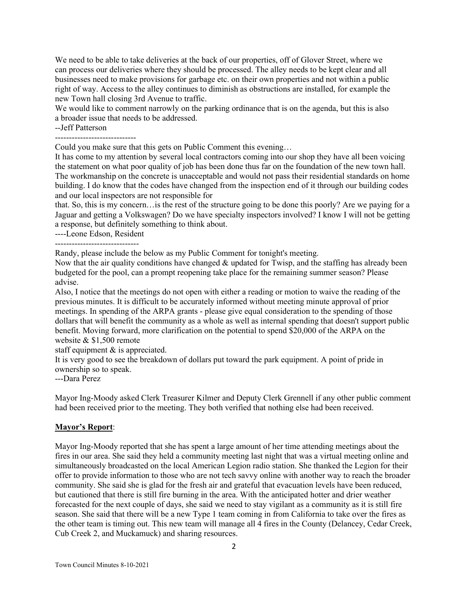We need to be able to take deliveries at the back of our properties, off of Glover Street, where we can process our deliveries where they should be processed. The alley needs to be kept clear and all businesses need to make provisions for garbage etc. on their own properties and not within a public right of way. Access to the alley continues to diminish as obstructions are installed, for example the new Town hall closing 3rd Avenue to traffic.

We would like to comment narrowly on the parking ordinance that is on the agenda, but this is also a broader issue that needs to be addressed.

--Jeff Patterson

----------------------------- Could you make sure that this gets on Public Comment this evening…

It has come to my attention by several local contractors coming into our shop they have all been voicing the statement on what poor quality of job has been done thus far on the foundation of the new town hall. The workmanship on the concrete is unacceptable and would not pass their residential standards on home building. I do know that the codes have changed from the inspection end of it through our building codes and our local inspectors are not responsible for

that. So, this is my concern…is the rest of the structure going to be done this poorly? Are we paying for a Jaguar and getting a Volkswagen? Do we have specialty inspectors involved? I know I will not be getting a response, but definitely something to think about.

----Leone Edson, Resident

Randy, please include the below as my Public Comment for tonight's meeting.

Now that the air quality conditions have changed  $\&$  updated for Twisp, and the staffing has already been budgeted for the pool, can a prompt reopening take place for the remaining summer season? Please advise.

Also, I notice that the meetings do not open with either a reading or motion to waive the reading of the previous minutes. It is difficult to be accurately informed without meeting minute approval of prior meetings. In spending of the ARPA grants ‐ please give equal consideration to the spending of those dollars that will benefit the community as a whole as well as internal spending that doesn't support public benefit. Moving forward, more clarification on the potential to spend \$20,000 of the ARPA on the website & \$1,500 remote

staff equipment & is appreciated.

It is very good to see the breakdown of dollars put toward the park equipment. A point of pride in ownership so to speak.

---Dara Perez

Mayor Ing-Moody asked Clerk Treasurer Kilmer and Deputy Clerk Grennell if any other public comment had been received prior to the meeting. They both verified that nothing else had been received.

#### **Mayor's Report**:

Mayor Ing-Moody reported that she has spent a large amount of her time attending meetings about the fires in our area. She said they held a community meeting last night that was a virtual meeting online and simultaneously broadcasted on the local American Legion radio station. She thanked the Legion for their offer to provide information to those who are not tech savvy online with another way to reach the broader community. She said she is glad for the fresh air and grateful that evacuation levels have been reduced, but cautioned that there is still fire burning in the area. With the anticipated hotter and drier weather forecasted for the next couple of days, she said we need to stay vigilant as a community as it is still fire season. She said that there will be a new Type 1 team coming in from California to take over the fires as the other team is timing out. This new team will manage all 4 fires in the County (Delancey, Cedar Creek, Cub Creek 2, and Muckamuck) and sharing resources.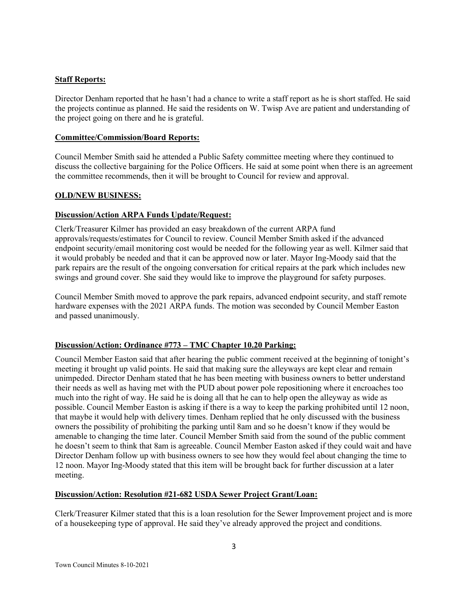## **Staff Reports:**

Director Denham reported that he hasn't had a chance to write a staff report as he is short staffed. He said the projects continue as planned. He said the residents on W. Twisp Ave are patient and understanding of the project going on there and he is grateful.

### **Committee/Commission/Board Reports:**

Council Member Smith said he attended a Public Safety committee meeting where they continued to discuss the collective bargaining for the Police Officers. He said at some point when there is an agreement the committee recommends, then it will be brought to Council for review and approval.

## **OLD/NEW BUSINESS:**

## **Discussion/Action ARPA Funds Update/Request:**

Clerk/Treasurer Kilmer has provided an easy breakdown of the current ARPA fund approvals/requests/estimates for Council to review. Council Member Smith asked if the advanced endpoint security/email monitoring cost would be needed for the following year as well. Kilmer said that it would probably be needed and that it can be approved now or later. Mayor Ing-Moody said that the park repairs are the result of the ongoing conversation for critical repairs at the park which includes new swings and ground cover. She said they would like to improve the playground for safety purposes.

Council Member Smith moved to approve the park repairs, advanced endpoint security, and staff remote hardware expenses with the 2021 ARPA funds. The motion was seconded by Council Member Easton and passed unanimously.

# **Discussion/Action: Ordinance #773 – TMC Chapter 10.20 Parking:**

Council Member Easton said that after hearing the public comment received at the beginning of tonight's meeting it brought up valid points. He said that making sure the alleyways are kept clear and remain unimpeded. Director Denham stated that he has been meeting with business owners to better understand their needs as well as having met with the PUD about power pole repositioning where it encroaches too much into the right of way. He said he is doing all that he can to help open the alleyway as wide as possible. Council Member Easton is asking if there is a way to keep the parking prohibited until 12 noon, that maybe it would help with delivery times. Denham replied that he only discussed with the business owners the possibility of prohibiting the parking until 8am and so he doesn't know if they would be amenable to changing the time later. Council Member Smith said from the sound of the public comment he doesn't seem to think that 8am is agreeable. Council Member Easton asked if they could wait and have Director Denham follow up with business owners to see how they would feel about changing the time to 12 noon. Mayor Ing-Moody stated that this item will be brought back for further discussion at a later meeting.

#### **Discussion/Action: Resolution #21-682 USDA Sewer Project Grant/Loan:**

Clerk/Treasurer Kilmer stated that this is a loan resolution for the Sewer Improvement project and is more of a housekeeping type of approval. He said they've already approved the project and conditions.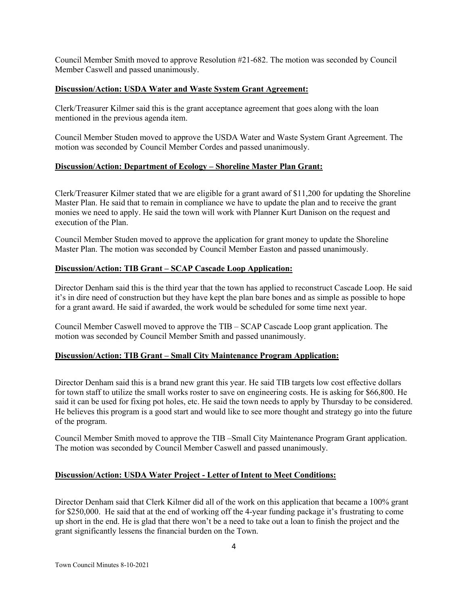Council Member Smith moved to approve Resolution #21-682. The motion was seconded by Council Member Caswell and passed unanimously.

#### **Discussion/Action: USDA Water and Waste System Grant Agreement:**

Clerk/Treasurer Kilmer said this is the grant acceptance agreement that goes along with the loan mentioned in the previous agenda item.

Council Member Studen moved to approve the USDA Water and Waste System Grant Agreement. The motion was seconded by Council Member Cordes and passed unanimously.

## **Discussion/Action: Department of Ecology – Shoreline Master Plan Grant:**

Clerk/Treasurer Kilmer stated that we are eligible for a grant award of \$11,200 for updating the Shoreline Master Plan. He said that to remain in compliance we have to update the plan and to receive the grant monies we need to apply. He said the town will work with Planner Kurt Danison on the request and execution of the Plan.

Council Member Studen moved to approve the application for grant money to update the Shoreline Master Plan. The motion was seconded by Council Member Easton and passed unanimously.

## **Discussion/Action: TIB Grant – SCAP Cascade Loop Application:**

Director Denham said this is the third year that the town has applied to reconstruct Cascade Loop. He said it's in dire need of construction but they have kept the plan bare bones and as simple as possible to hope for a grant award. He said if awarded, the work would be scheduled for some time next year.

Council Member Caswell moved to approve the TIB – SCAP Cascade Loop grant application. The motion was seconded by Council Member Smith and passed unanimously.

# **Discussion/Action: TIB Grant – Small City Maintenance Program Application:**

Director Denham said this is a brand new grant this year. He said TIB targets low cost effective dollars for town staff to utilize the small works roster to save on engineering costs. He is asking for \$66,800. He said it can be used for fixing pot holes, etc. He said the town needs to apply by Thursday to be considered. He believes this program is a good start and would like to see more thought and strategy go into the future of the program.

Council Member Smith moved to approve the TIB –Small City Maintenance Program Grant application. The motion was seconded by Council Member Caswell and passed unanimously.

# **Discussion/Action: USDA Water Project - Letter of Intent to Meet Conditions:**

Director Denham said that Clerk Kilmer did all of the work on this application that became a 100% grant for \$250,000. He said that at the end of working off the 4-year funding package it's frustrating to come up short in the end. He is glad that there won't be a need to take out a loan to finish the project and the grant significantly lessens the financial burden on the Town.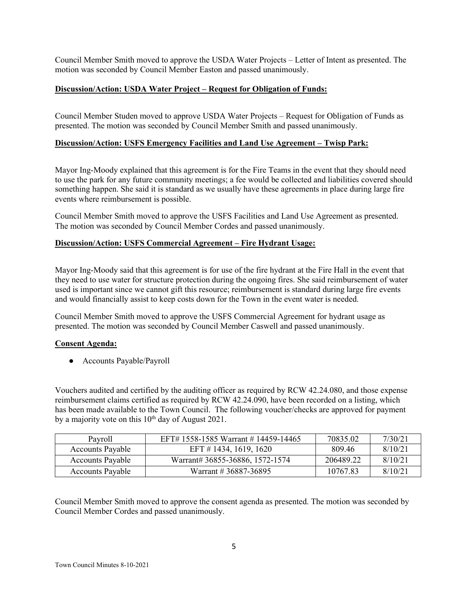Council Member Smith moved to approve the USDA Water Projects – Letter of Intent as presented. The motion was seconded by Council Member Easton and passed unanimously.

## **Discussion/Action: USDA Water Project – Request for Obligation of Funds:**

Council Member Studen moved to approve USDA Water Projects – Request for Obligation of Funds as presented. The motion was seconded by Council Member Smith and passed unanimously.

## **Discussion/Action: USFS Emergency Facilities and Land Use Agreement – Twisp Park:**

Mayor Ing-Moody explained that this agreement is for the Fire Teams in the event that they should need to use the park for any future community meetings; a fee would be collected and liabilities covered should something happen. She said it is standard as we usually have these agreements in place during large fire events where reimbursement is possible.

Council Member Smith moved to approve the USFS Facilities and Land Use Agreement as presented. The motion was seconded by Council Member Cordes and passed unanimously.

#### **Discussion/Action: USFS Commercial Agreement – Fire Hydrant Usage:**

Mayor Ing-Moody said that this agreement is for use of the fire hydrant at the Fire Hall in the event that they need to use water for structure protection during the ongoing fires. She said reimbursement of water used is important since we cannot gift this resource; reimbursement is standard during large fire events and would financially assist to keep costs down for the Town in the event water is needed.

Council Member Smith moved to approve the USFS Commercial Agreement for hydrant usage as presented. The motion was seconded by Council Member Caswell and passed unanimously.

#### **Consent Agenda:**

● Accounts Payable/Payroll

Vouchers audited and certified by the auditing officer as required by RCW 42.24.080, and those expense reimbursement claims certified as required by RCW 42.24.090, have been recorded on a listing, which has been made available to the Town Council. The following voucher/checks are approved for payment by a majority vote on this  $10^{th}$  day of August 2021.

| Payroll                 | EFT# 1558-1585 Warrant # 14459-14465 | 70835.02  | 7/30/21 |
|-------------------------|--------------------------------------|-----------|---------|
| <b>Accounts Payable</b> | EFT # 1434, 1619, 1620               | 809.46    | 8/10/21 |
| <b>Accounts Payable</b> | Warrant# 36855-36886, 1572-1574      | 206489.22 | 8/10/21 |
| <b>Accounts Payable</b> | Warrant # 36887-36895                | 10767.83  | 8/10/21 |

Council Member Smith moved to approve the consent agenda as presented. The motion was seconded by Council Member Cordes and passed unanimously.